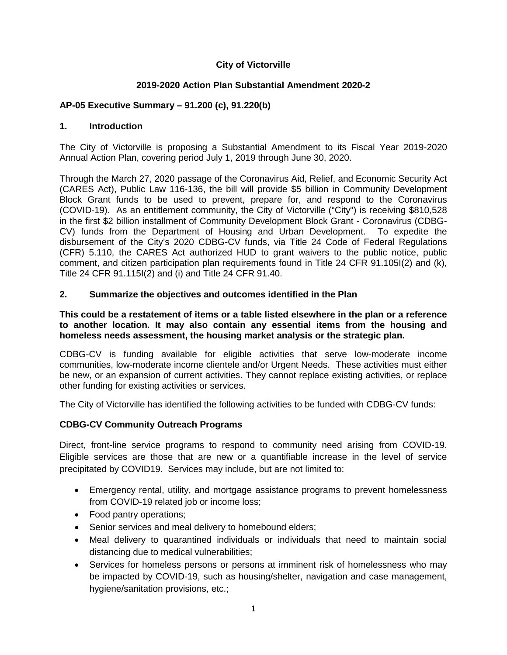#### **City of Victorville**

#### **2019-2020 Action Plan Substantial Amendment 2020-2**

### **AP-05 Executive Summary – 91.200 (c), 91.220(b)**

#### **1. Introduction**

The City of Victorville is proposing a Substantial Amendment to its Fiscal Year 2019-2020 Annual Action Plan, covering period July 1, 2019 through June 30, 2020.

Through the March 27, 2020 passage of the Coronavirus Aid, Relief, and Economic Security Act (CARES Act), Public Law 116-136, the bill will provide \$5 billion in Community Development Block Grant funds to be used to prevent, prepare for, and respond to the Coronavirus (COVID‐19). As an entitlement community, the City of Victorville ("City") is receiving \$810,528 in the first \$2 billion installment of Community Development Block Grant - Coronavirus (CDBG-CV) funds from the Department of Housing and Urban Development. To expedite the disbursement of the City's 2020 CDBG-CV funds, via Title 24 Code of Federal Regulations (CFR) 5.110, the CARES Act authorized HUD to grant waivers to the public notice, public comment, and citizen participation plan requirements found in Title 24 CFR 91.105I(2) and (k), Title 24 CFR 91.115I(2) and (i) and Title 24 CFR 91.40.

#### **2. Summarize the objectives and outcomes identified in the Plan**

#### **This could be a restatement of items or a table listed elsewhere in the plan or a reference to another location. It may also contain any essential items from the housing and homeless needs assessment, the housing market analysis or the strategic plan.**

CDBG-CV is funding available for eligible activities that serve low-moderate income communities, low-moderate income clientele and/or Urgent Needs. These activities must either be new, or an expansion of current activities. They cannot replace existing activities, or replace other funding for existing activities or services.

The City of Victorville has identified the following activities to be funded with CDBG-CV funds:

#### **CDBG-CV Community Outreach Programs**

Direct, front-line service programs to respond to community need arising from COVID-19. Eligible services are those that are new or a quantifiable increase in the level of service precipitated by COVID19. Services may include, but are not limited to:

- Emergency rental, utility, and mortgage assistance programs to prevent homelessness from COVID-19 related job or income loss;
- Food pantry operations;
- Senior services and meal delivery to homebound elders;
- Meal delivery to quarantined individuals or individuals that need to maintain social distancing due to medical vulnerabilities;
- Services for homeless persons or persons at imminent risk of homelessness who may be impacted by COVID-19, such as housing/shelter, navigation and case management, hygiene/sanitation provisions, etc.;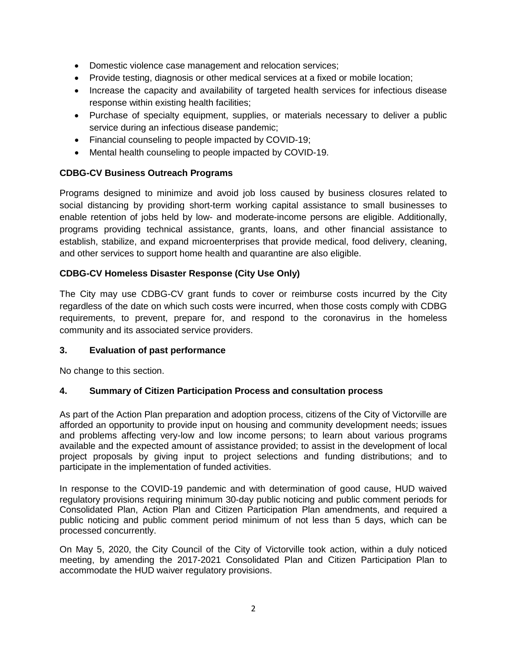- Domestic violence case management and relocation services;
- Provide testing, diagnosis or other medical services at a fixed or mobile location;
- Increase the capacity and availability of targeted health services for infectious disease response within existing health facilities;
- Purchase of specialty equipment, supplies, or materials necessary to deliver a public service during an infectious disease pandemic;
- Financial counseling to people impacted by COVID-19;
- Mental health counseling to people impacted by COVID-19.

## **CDBG-CV Business Outreach Programs**

Programs designed to minimize and avoid job loss caused by business closures related to social distancing by providing short-term working capital assistance to small businesses to enable retention of jobs held by low- and moderate-income persons are eligible. Additionally, programs providing technical assistance, grants, loans, and other financial assistance to establish, stabilize, and expand microenterprises that provide medical, food delivery, cleaning, and other services to support home health and quarantine are also eligible.

## **CDBG-CV Homeless Disaster Response (City Use Only)**

The City may use CDBG-CV grant funds to cover or reimburse costs incurred by the City regardless of the date on which such costs were incurred, when those costs comply with CDBG requirements, to prevent, prepare for, and respond to the coronavirus in the homeless community and its associated service providers.

## **3. Evaluation of past performance**

No change to this section.

## **4. Summary of Citizen Participation Process and consultation process**

As part of the Action Plan preparation and adoption process, citizens of the City of Victorville are afforded an opportunity to provide input on housing and community development needs; issues and problems affecting very-low and low income persons; to learn about various programs available and the expected amount of assistance provided; to assist in the development of local project proposals by giving input to project selections and funding distributions; and to participate in the implementation of funded activities.

In response to the COVID-19 pandemic and with determination of good cause, HUD waived regulatory provisions requiring minimum 30-day public noticing and public comment periods for Consolidated Plan, Action Plan and Citizen Participation Plan amendments, and required a public noticing and public comment period minimum of not less than 5 days, which can be processed concurrently.

On May 5, 2020, the City Council of the City of Victorville took action, within a duly noticed meeting, by amending the 2017-2021 Consolidated Plan and Citizen Participation Plan to accommodate the HUD waiver regulatory provisions.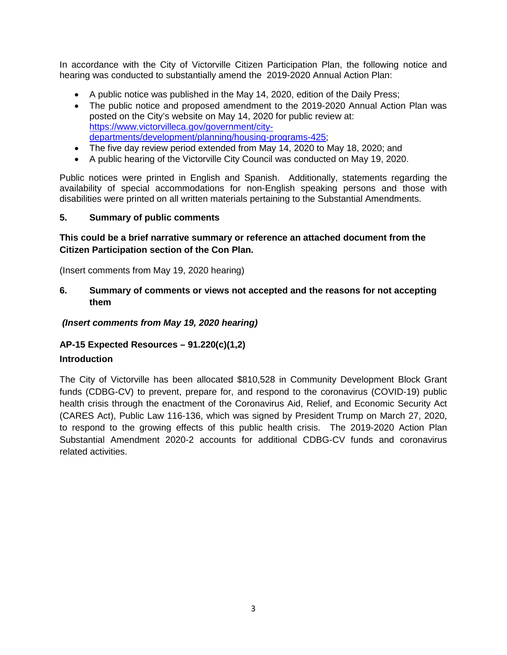In accordance with the City of Victorville Citizen Participation Plan, the following notice and hearing was conducted to substantially amend the 2019-2020 Annual Action Plan:

- A public notice was published in the May 14, 2020, edition of the Daily Press;
- The public notice and proposed amendment to the 2019-2020 Annual Action Plan was posted on the City's website on May 14, 2020 for public review at: [https://www.victorvilleca.gov/government/city](https://www.victorvilleca.gov/government/city-departments/development/planning/housing-programs-425)[departments/development/planning/housing-programs-425;](https://www.victorvilleca.gov/government/city-departments/development/planning/housing-programs-425)
- The five day review period extended from May 14, 2020 to May 18, 2020; and
- A public hearing of the Victorville City Council was conducted on May 19, 2020.

Public notices were printed in English and Spanish. Additionally, statements regarding the availability of special accommodations for non-English speaking persons and those with disabilities were printed on all written materials pertaining to the Substantial Amendments.

#### **5. Summary of public comments**

### **This could be a brief narrative summary or reference an attached document from the Citizen Participation section of the Con Plan.**

(Insert comments from May 19, 2020 hearing)

**6. Summary of comments or views not accepted and the reasons for not accepting them** 

*(Insert comments from May 19, 2020 hearing)*

## **AP-15 Expected Resources – 91.220(c)(1,2)**

#### **Introduction**

The City of Victorville has been allocated \$810,528 in Community Development Block Grant funds (CDBG-CV) to prevent, prepare for, and respond to the coronavirus (COVID-19) public health crisis through the enactment of the Coronavirus Aid, Relief, and Economic Security Act (CARES Act), Public Law 116-136, which was signed by President Trump on March 27, 2020, to respond to the growing effects of this public health crisis. The 2019-2020 Action Plan Substantial Amendment 2020-2 accounts for additional CDBG-CV funds and coronavirus related activities.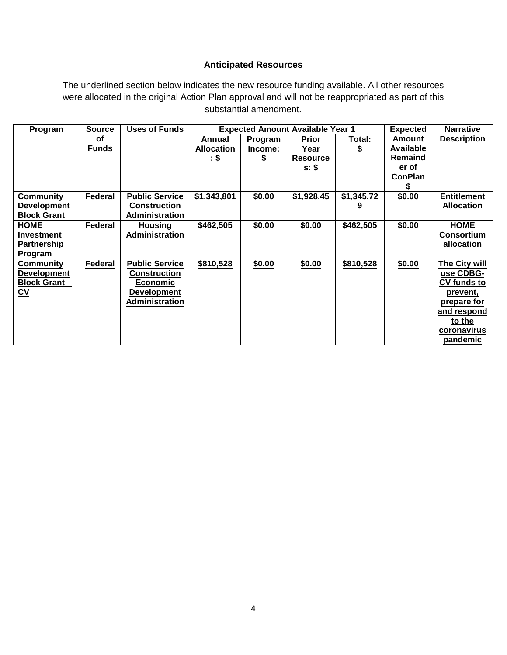### **Anticipated Resources**

The underlined section below indicates the new resource funding available. All other resources were allocated in the original Action Plan approval and will not be reappropriated as part of this substantial amendment.

| Program                   | <b>Source</b>  | <b>Uses of Funds</b>  |                   |         | <b>Expected Amount Available Year 1</b> |            | <b>Expected</b>  | <b>Narrative</b>     |
|---------------------------|----------------|-----------------------|-------------------|---------|-----------------------------------------|------------|------------------|----------------------|
|                           | οf             |                       | Annual            | Program | <b>Prior</b>                            | Total:     | <b>Amount</b>    | <b>Description</b>   |
|                           | <b>Funds</b>   |                       | <b>Allocation</b> | Income: | Year                                    | S          | <b>Available</b> |                      |
|                           |                |                       | : \$              | S       | <b>Resource</b>                         |            | <b>Remaind</b>   |                      |
|                           |                |                       |                   |         | $s:$ \$                                 |            | er of            |                      |
|                           |                |                       |                   |         |                                         |            | <b>ConPlan</b>   |                      |
|                           |                |                       |                   |         |                                         |            |                  |                      |
| <b>Community</b>          | Federal        | <b>Public Service</b> | \$1,343,801       | \$0.00  | \$1,928.45                              | \$1,345,72 | \$0.00           | <b>Entitlement</b>   |
| <b>Development</b>        |                | <b>Construction</b>   |                   |         |                                         | 9          |                  | <b>Allocation</b>    |
| <b>Block Grant</b>        |                | Administration        |                   |         |                                         |            |                  |                      |
| <b>HOME</b>               | Federal        | <b>Housing</b>        | \$462,505         | \$0.00  | \$0.00                                  | \$462,505  | \$0.00           | <b>HOME</b>          |
| <b>Investment</b>         |                | <b>Administration</b> |                   |         |                                         |            |                  | Consortium           |
| <b>Partnership</b>        |                |                       |                   |         |                                         |            |                  | allocation           |
| Program                   |                |                       |                   |         |                                         |            |                  |                      |
| <b>Community</b>          | <b>Federal</b> | <b>Public Service</b> | \$810,528         | \$0.00  | \$0.00                                  | \$810,528  | \$0.00           | <b>The City will</b> |
| <b>Development</b>        |                | <b>Construction</b>   |                   |         |                                         |            |                  | use CDBG-            |
| <b>Block Grant-</b>       |                | <b>Economic</b>       |                   |         |                                         |            |                  | <b>CV funds to</b>   |
| $\underline{\mathsf{cv}}$ |                | <b>Development</b>    |                   |         |                                         |            |                  | prevent,             |
|                           |                | <b>Administration</b> |                   |         |                                         |            |                  | prepare for          |
|                           |                |                       |                   |         |                                         |            |                  | and respond          |
|                           |                |                       |                   |         |                                         |            |                  | to the               |
|                           |                |                       |                   |         |                                         |            |                  | coronavirus          |
|                           |                |                       |                   |         |                                         |            |                  | <u>pandemic</u>      |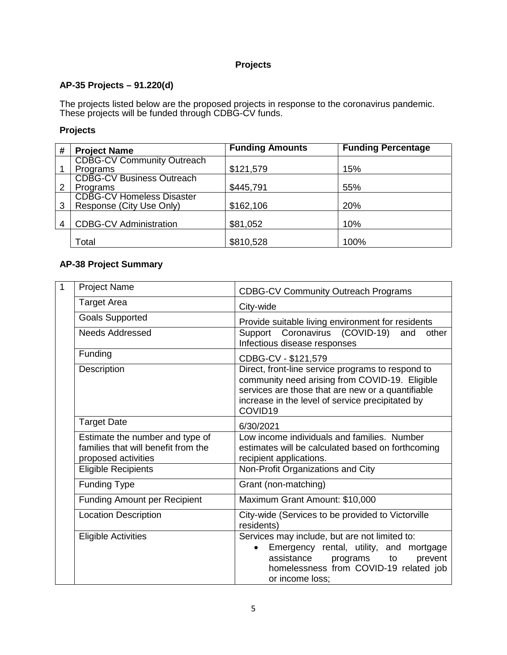### **Projects**

## **AP-35 Projects – 91.220(d)**

The projects listed below are the proposed projects in response to the coronavirus pandemic. These projects will be funded through CDBG-CV funds.

#### **Projects**

| # | <b>Project Name</b>                                          | <b>Funding Amounts</b> | <b>Funding Percentage</b> |
|---|--------------------------------------------------------------|------------------------|---------------------------|
|   | <b>CDBG-CV Community Outreach</b>                            | \$121,579              | 15%                       |
|   | Programs<br><b>CDBG-CV Business Outreach</b>                 |                        |                           |
| 2 | Programs                                                     | \$445,791              | 55%                       |
| 3 | <b>CDBG-CV Homeless Disaster</b><br>Response (City Use Only) | \$162,106              | 20%                       |
| 4 | <b>CDBG-CV Administration</b>                                | \$81,052               | 10%                       |
|   | Total                                                        | \$810,528              | 100%                      |

## **AP-38 Project Summary**

| $\mathbf{1}$ | <b>Project Name</b>                                                                           | <b>CDBG-CV Community Outreach Programs</b>                                                                                                                                                                              |
|--------------|-----------------------------------------------------------------------------------------------|-------------------------------------------------------------------------------------------------------------------------------------------------------------------------------------------------------------------------|
|              | <b>Target Area</b>                                                                            | City-wide                                                                                                                                                                                                               |
|              | <b>Goals Supported</b>                                                                        | Provide suitable living environment for residents                                                                                                                                                                       |
|              | <b>Needs Addressed</b>                                                                        | Support Coronavirus (COVID-19)<br>and<br>other<br>Infectious disease responses                                                                                                                                          |
|              | Funding                                                                                       | CDBG-CV - \$121,579                                                                                                                                                                                                     |
|              | Description                                                                                   | Direct, front-line service programs to respond to<br>community need arising from COVID-19. Eligible<br>services are those that are new or a quantifiable<br>increase in the level of service precipitated by<br>COVID19 |
|              | <b>Target Date</b>                                                                            | 6/30/2021                                                                                                                                                                                                               |
|              | Estimate the number and type of<br>families that will benefit from the<br>proposed activities | Low income individuals and families. Number<br>estimates will be calculated based on forthcoming<br>recipient applications.                                                                                             |
|              | <b>Eligible Recipients</b>                                                                    | Non-Profit Organizations and City                                                                                                                                                                                       |
|              | <b>Funding Type</b>                                                                           | Grant (non-matching)                                                                                                                                                                                                    |
|              | <b>Funding Amount per Recipient</b>                                                           | Maximum Grant Amount: \$10,000                                                                                                                                                                                          |
|              | <b>Location Description</b>                                                                   | City-wide (Services to be provided to Victorville<br>residents)                                                                                                                                                         |
|              | <b>Eligible Activities</b>                                                                    | Services may include, but are not limited to:<br>Emergency rental, utility, and mortgage<br>assistance<br>prevent<br>programs<br>to<br>homelessness from COVID-19 related job<br>or income loss;                        |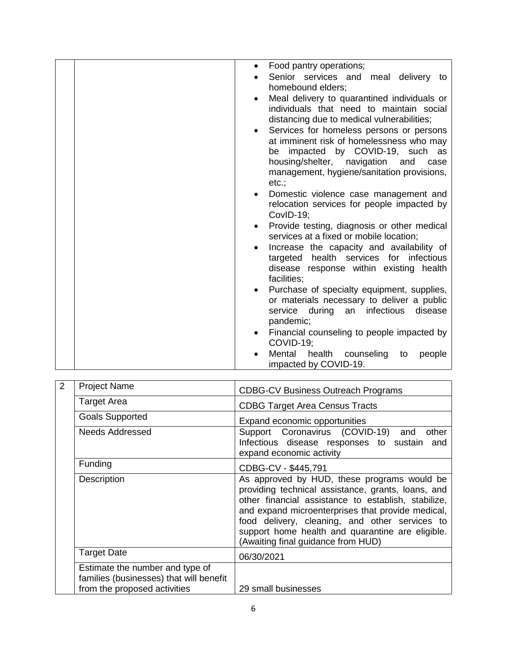| Food pantry operations;                               |
|-------------------------------------------------------|
| Senior services and meal delivery to                  |
| homebound elders;                                     |
| Meal delivery to quarantined individuals or           |
| individuals that need to maintain social              |
|                                                       |
| distancing due to medical vulnerabilities;            |
| Services for homeless persons or persons<br>$\bullet$ |
| at imminent risk of homelessness who may              |
| be impacted by COVID-19, such as                      |
| housing/shelter, navigation and<br>case               |
| management, hygiene/sanitation provisions,            |
| etc.:                                                 |
| Domestic violence case management and                 |
| relocation services for people impacted by            |
| CovID-19;                                             |
| Provide testing, diagnosis or other medical           |
| services at a fixed or mobile location;               |
| Increase the capacity and availability of             |
| targeted health services for infectious               |
| disease response within existing health               |
| facilities;                                           |
| Purchase of specialty equipment, supplies,            |
| or materials necessary to deliver a public            |
| service during<br>an infectious<br>disease            |
|                                                       |
| pandemic;                                             |
| Financial counseling to people impacted by            |
| COVID-19;                                             |
| Mental<br>health<br>counseling<br>to<br>people        |
| impacted by COVID-19.                                 |

| $\overline{2}$ | <b>Project Name</b>                                                        | <b>CDBG-CV Business Outreach Programs</b>                                                                                                                                                                                                                                                                                                                 |
|----------------|----------------------------------------------------------------------------|-----------------------------------------------------------------------------------------------------------------------------------------------------------------------------------------------------------------------------------------------------------------------------------------------------------------------------------------------------------|
|                | <b>Target Area</b>                                                         | <b>CDBG Target Area Census Tracts</b>                                                                                                                                                                                                                                                                                                                     |
|                | <b>Goals Supported</b>                                                     | Expand economic opportunities                                                                                                                                                                                                                                                                                                                             |
|                | Needs Addressed                                                            | Support Coronavirus (COVID-19) and<br>other<br>Infectious disease responses to sustain and<br>expand economic activity                                                                                                                                                                                                                                    |
|                | Funding                                                                    | CDBG-CV - \$445,791                                                                                                                                                                                                                                                                                                                                       |
|                | Description                                                                | As approved by HUD, these programs would be<br>providing technical assistance, grants, loans, and<br>other financial assistance to establish, stabilize,<br>and expand microenterprises that provide medical,<br>food delivery, cleaning, and other services to<br>support home health and quarantine are eligible.<br>(Awaiting final guidance from HUD) |
|                | <b>Target Date</b>                                                         | 06/30/2021                                                                                                                                                                                                                                                                                                                                                |
|                | Estimate the number and type of<br>families (businesses) that will benefit |                                                                                                                                                                                                                                                                                                                                                           |
|                | from the proposed activities                                               | 29 small businesses                                                                                                                                                                                                                                                                                                                                       |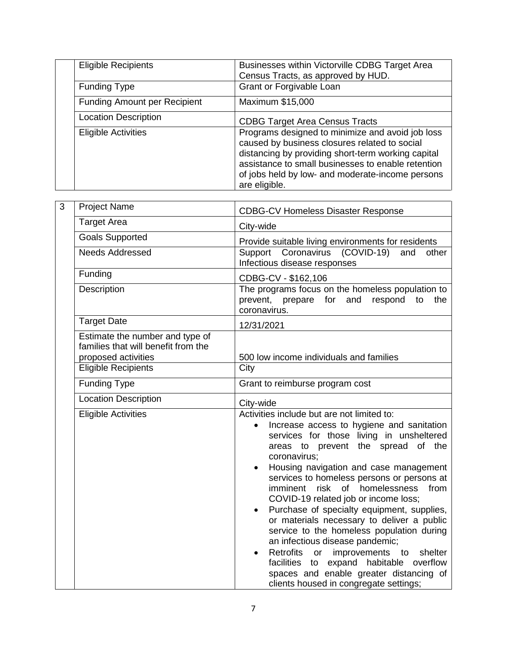| <b>Eligible Recipients</b>          | Businesses within Victorville CDBG Target Area<br>Census Tracts, as approved by HUD.                                                                                                                                                                                               |
|-------------------------------------|------------------------------------------------------------------------------------------------------------------------------------------------------------------------------------------------------------------------------------------------------------------------------------|
| <b>Funding Type</b>                 | Grant or Forgivable Loan                                                                                                                                                                                                                                                           |
| <b>Funding Amount per Recipient</b> | Maximum \$15,000                                                                                                                                                                                                                                                                   |
| <b>Location Description</b>         | <b>CDBG Target Area Census Tracts</b>                                                                                                                                                                                                                                              |
| <b>Eligible Activities</b>          | Programs designed to minimize and avoid job loss<br>caused by business closures related to social<br>distancing by providing short-term working capital<br>assistance to small businesses to enable retention<br>of jobs held by low- and moderate-income persons<br>are eligible. |

| 3 | <b>Project Name</b>                                                                           | <b>CDBG-CV Homeless Disaster Response</b>                                                                                                                                                                                                                                                                                                                                                                                                                                                                                                                                                                                                                                                                                                                       |  |  |
|---|-----------------------------------------------------------------------------------------------|-----------------------------------------------------------------------------------------------------------------------------------------------------------------------------------------------------------------------------------------------------------------------------------------------------------------------------------------------------------------------------------------------------------------------------------------------------------------------------------------------------------------------------------------------------------------------------------------------------------------------------------------------------------------------------------------------------------------------------------------------------------------|--|--|
|   | <b>Target Area</b>                                                                            | City-wide                                                                                                                                                                                                                                                                                                                                                                                                                                                                                                                                                                                                                                                                                                                                                       |  |  |
|   | <b>Goals Supported</b>                                                                        | Provide suitable living environments for residents                                                                                                                                                                                                                                                                                                                                                                                                                                                                                                                                                                                                                                                                                                              |  |  |
|   | <b>Needs Addressed</b>                                                                        | Support Coronavirus (COVID-19)<br>and<br>other<br>Infectious disease responses                                                                                                                                                                                                                                                                                                                                                                                                                                                                                                                                                                                                                                                                                  |  |  |
|   | Funding                                                                                       | CDBG-CV - \$162,106                                                                                                                                                                                                                                                                                                                                                                                                                                                                                                                                                                                                                                                                                                                                             |  |  |
|   | Description                                                                                   | The programs focus on the homeless population to<br>prevent, prepare for and respond to<br>the<br>coronavirus.                                                                                                                                                                                                                                                                                                                                                                                                                                                                                                                                                                                                                                                  |  |  |
|   | <b>Target Date</b>                                                                            | 12/31/2021                                                                                                                                                                                                                                                                                                                                                                                                                                                                                                                                                                                                                                                                                                                                                      |  |  |
|   | Estimate the number and type of<br>families that will benefit from the<br>proposed activities | 500 low income individuals and families                                                                                                                                                                                                                                                                                                                                                                                                                                                                                                                                                                                                                                                                                                                         |  |  |
|   | <b>Eligible Recipients</b>                                                                    | City                                                                                                                                                                                                                                                                                                                                                                                                                                                                                                                                                                                                                                                                                                                                                            |  |  |
|   | Funding Type                                                                                  | Grant to reimburse program cost                                                                                                                                                                                                                                                                                                                                                                                                                                                                                                                                                                                                                                                                                                                                 |  |  |
|   | <b>Location Description</b>                                                                   | City-wide                                                                                                                                                                                                                                                                                                                                                                                                                                                                                                                                                                                                                                                                                                                                                       |  |  |
|   | <b>Eligible Activities</b>                                                                    | Activities include but are not limited to:<br>Increase access to hygiene and sanitation<br>$\bullet$<br>services for those living in unsheltered<br>areas to prevent the spread of the<br>coronavirus;<br>Housing navigation and case management<br>services to homeless persons or persons at<br>imminent risk of homelessness<br>from<br>COVID-19 related job or income loss;<br>Purchase of specialty equipment, supplies,<br>or materials necessary to deliver a public<br>service to the homeless population during<br>an infectious disease pandemic;<br>Retrofits<br>improvements to<br>shelter<br>or<br>$\bullet$<br>to expand<br>facilities<br>habitable overflow<br>spaces and enable greater distancing of<br>clients housed in congregate settings; |  |  |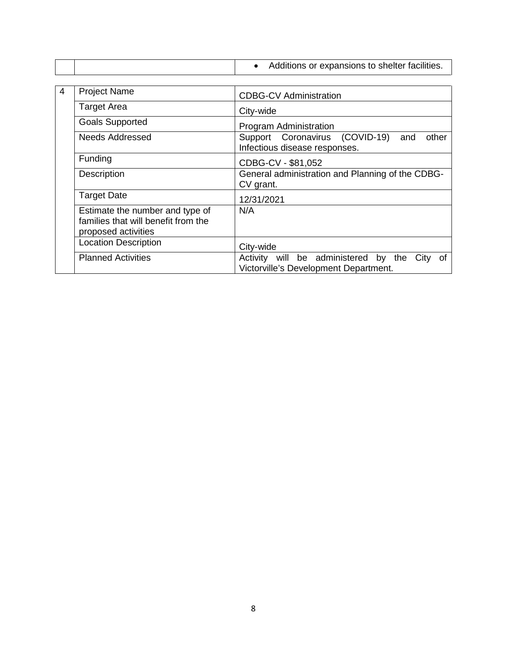|   |                                                                                               | Additions or expansions to shelter facilities.                                              |
|---|-----------------------------------------------------------------------------------------------|---------------------------------------------------------------------------------------------|
|   |                                                                                               |                                                                                             |
| 4 | <b>Project Name</b>                                                                           | <b>CDBG-CV Administration</b>                                                               |
|   | <b>Target Area</b>                                                                            | City-wide                                                                                   |
|   | <b>Goals Supported</b>                                                                        | Program Administration                                                                      |
|   | <b>Needs Addressed</b>                                                                        | Support Coronavirus (COVID-19)<br>other<br>and<br>Infectious disease responses.             |
|   | Funding                                                                                       | CDBG-CV - \$81,052                                                                          |
|   | Description                                                                                   | General administration and Planning of the CDBG-<br>CV grant.                               |
|   | <b>Target Date</b>                                                                            | 12/31/2021                                                                                  |
|   | Estimate the number and type of<br>families that will benefit from the<br>proposed activities | N/A                                                                                         |
|   | <b>Location Description</b>                                                                   | City-wide                                                                                   |
|   | <b>Planned Activities</b>                                                                     | Activity will be administered by the<br>City<br>0f<br>Victorville's Development Department. |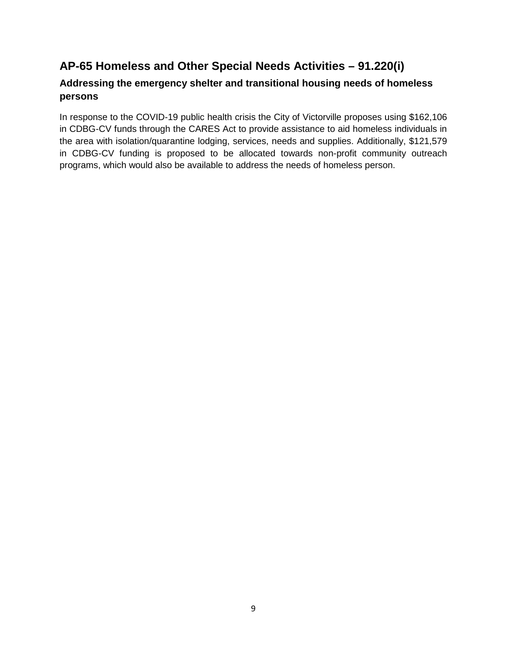# **AP-65 Homeless and Other Special Needs Activities – 91.220(i)**

## **Addressing the emergency shelter and transitional housing needs of homeless persons**

In response to the COVID-19 public health crisis the City of Victorville proposes using \$162,106 in CDBG-CV funds through the CARES Act to provide assistance to aid homeless individuals in the area with isolation/quarantine lodging, services, needs and supplies. Additionally, \$121,579 in CDBG-CV funding is proposed to be allocated towards non-profit community outreach programs, which would also be available to address the needs of homeless person.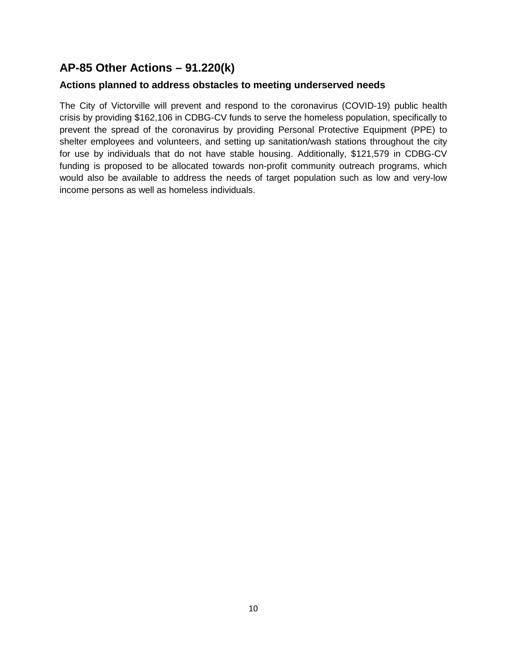# **AP-85 Other Actions – 91.220(k)**

## **Actions planned to address obstacles to meeting underserved needs**

The City of Victorville will prevent and respond to the coronavirus (COVID-19) public health crisis by providing \$162,106 in CDBG-CV funds to serve the homeless population, specifically to prevent the spread of the coronavirus by providing Personal Protective Equipment (PPE) to shelter employees and volunteers, and setting up sanitation/wash stations throughout the city for use by individuals that do not have stable housing. Additionally, \$121,579 in CDBG-CV funding is proposed to be allocated towards non-profit community outreach programs, which would also be available to address the needs of target population such as low and very-low income persons as well as homeless individuals.